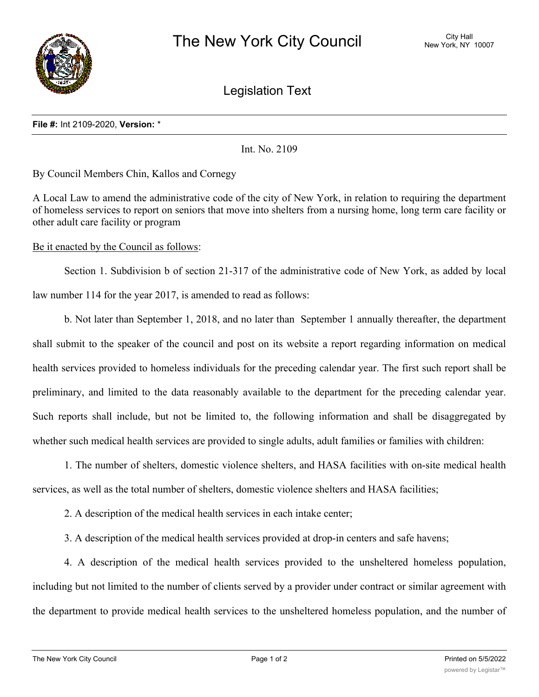

Legislation Text

## **File #:** Int 2109-2020, **Version:** \*

Int. No. 2109

By Council Members Chin, Kallos and Cornegy

A Local Law to amend the administrative code of the city of New York, in relation to requiring the department of homeless services to report on seniors that move into shelters from a nursing home, long term care facility or other adult care facility or program

Be it enacted by the Council as follows:

Section 1. Subdivision b of section 21-317 of the administrative code of New York, as added by local law number 114 for the year 2017, is amended to read as follows:

b. Not later than September 1, 2018, and no later than September 1 annually thereafter, the department shall submit to the speaker of the council and post on its website a report regarding information on medical health services provided to homeless individuals for the preceding calendar year. The first such report shall be preliminary, and limited to the data reasonably available to the department for the preceding calendar year. Such reports shall include, but not be limited to, the following information and shall be disaggregated by whether such medical health services are provided to single adults, adult families or families with children:

1. The number of shelters, domestic violence shelters, and HASA facilities with on-site medical health services, as well as the total number of shelters, domestic violence shelters and HASA facilities;

2. A description of the medical health services in each intake center;

3. A description of the medical health services provided at drop-in centers and safe havens;

4. A description of the medical health services provided to the unsheltered homeless population, including but not limited to the number of clients served by a provider under contract or similar agreement with the department to provide medical health services to the unsheltered homeless population, and the number of